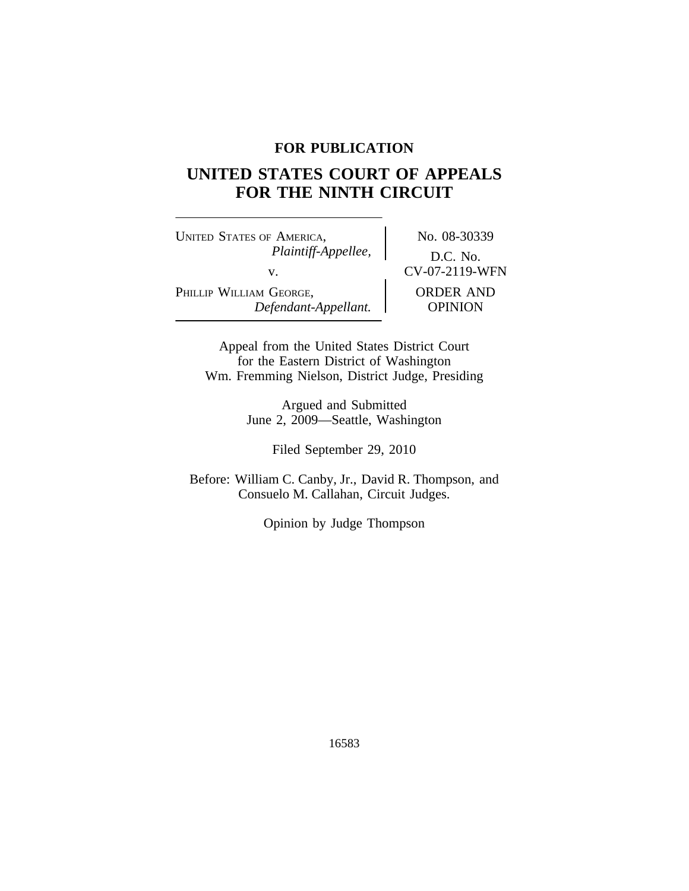# **FOR PUBLICATION**

# **UNITED STATES COURT OF APPEALS FOR THE NINTH CIRCUIT**

UNITED STATES OF AMERICA, No. 08-30339 *Plaintiff-Appellee,* D.C. No. v.  $\qquad \qquad \qquad \begin{array}{c} \text{CV-07-2119-WFN} \end{array}$ PHILLIP WILLIAM GEORGE, **NAMEL CORDER AND** *Defendant-Appellant.* OPINION

Appeal from the United States District Court for the Eastern District of Washington Wm. Fremming Nielson, District Judge, Presiding

> Argued and Submitted June 2, 2009—Seattle, Washington

> > Filed September 29, 2010

Before: William C. Canby, Jr., David R. Thompson, and Consuelo M. Callahan, Circuit Judges.

Opinion by Judge Thompson

16583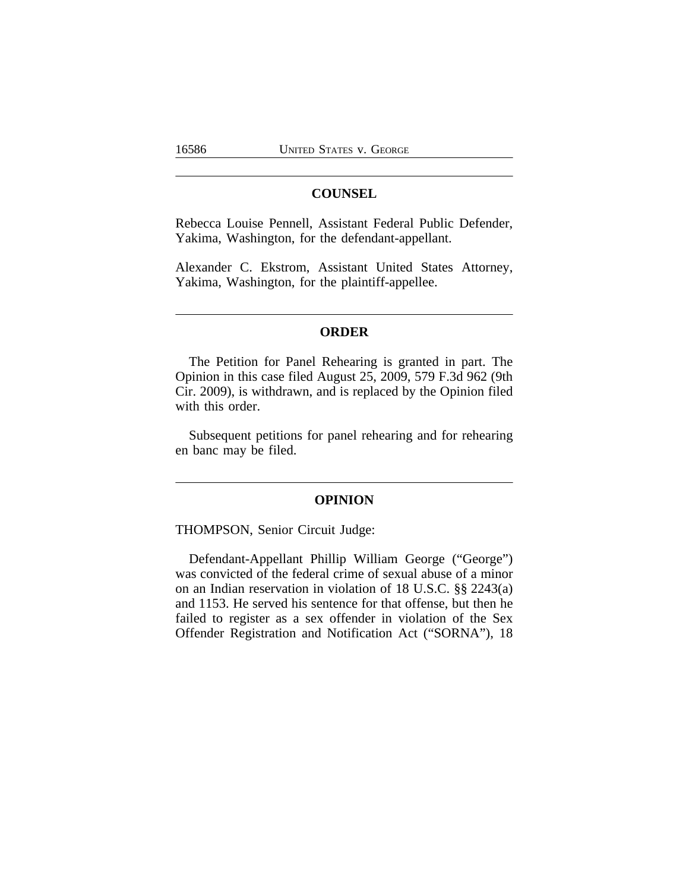## **COUNSEL**

Rebecca Louise Pennell, Assistant Federal Public Defender, Yakima, Washington, for the defendant-appellant.

Alexander C. Ekstrom, Assistant United States Attorney, Yakima, Washington, for the plaintiff-appellee.

#### **ORDER**

The Petition for Panel Rehearing is granted in part. The Opinion in this case filed August 25, 2009, 579 F.3d 962 (9th Cir. 2009), is withdrawn, and is replaced by the Opinion filed with this order.

Subsequent petitions for panel rehearing and for rehearing en banc may be filed.

#### **OPINION**

THOMPSON, Senior Circuit Judge:

Defendant-Appellant Phillip William George ("George") was convicted of the federal crime of sexual abuse of a minor on an Indian reservation in violation of 18 U.S.C. §§ 2243(a) and 1153. He served his sentence for that offense, but then he failed to register as a sex offender in violation of the Sex Offender Registration and Notification Act ("SORNA"), 18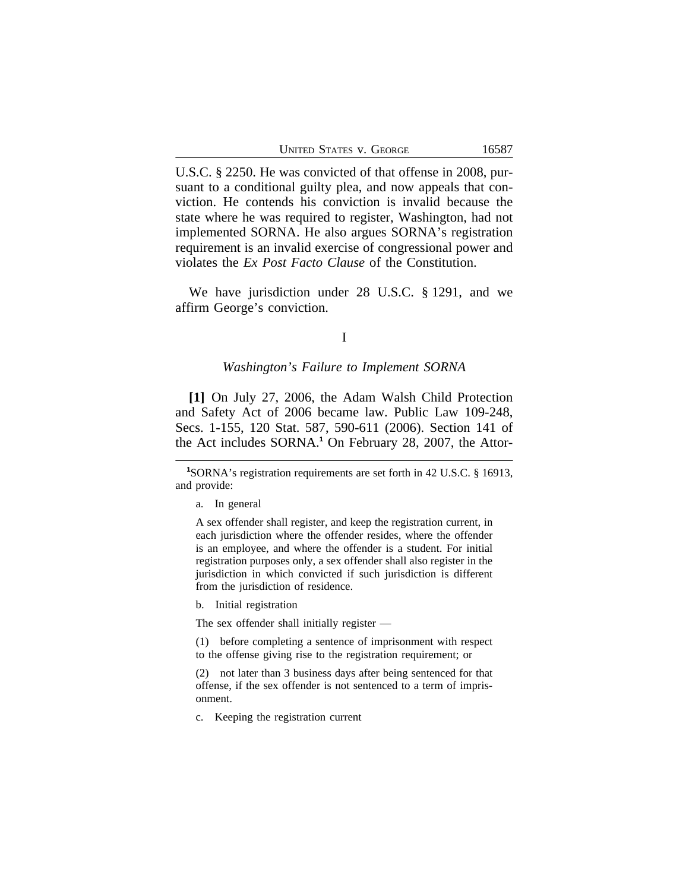|  | UNITED STATES V. GEORGE |
|--|-------------------------|
|  |                         |

U.S.C. § 2250. He was convicted of that offense in 2008, pursuant to a conditional guilty plea, and now appeals that conviction. He contends his conviction is invalid because the state where he was required to register, Washington, had not implemented SORNA. He also argues SORNA's registration requirement is an invalid exercise of congressional power and violates the *Ex Post Facto Clause* of the Constitution.

We have jurisdiction under 28 U.S.C. § 1291, and we affirm George's conviction.

#### I

#### *Washington's Failure to Implement SORNA*

**[1]** On July 27, 2006, the Adam Walsh Child Protection and Safety Act of 2006 became law. Public Law 109-248, Secs. 1-155, 120 Stat. 587, 590-611 (2006). Section 141 of the Act includes SORNA.**<sup>1</sup>** On February 28, 2007, the Attor-

A sex offender shall register, and keep the registration current, in each jurisdiction where the offender resides, where the offender is an employee, and where the offender is a student. For initial registration purposes only, a sex offender shall also register in the jurisdiction in which convicted if such jurisdiction is different from the jurisdiction of residence.

b. Initial registration

The sex offender shall initially register —

(1) before completing a sentence of imprisonment with respect to the offense giving rise to the registration requirement; or

(2) not later than 3 business days after being sentenced for that offense, if the sex offender is not sentenced to a term of imprisonment.

c. Keeping the registration current

**<sup>1</sup>**SORNA's registration requirements are set forth in 42 U.S.C. § 16913, and provide:

a. In general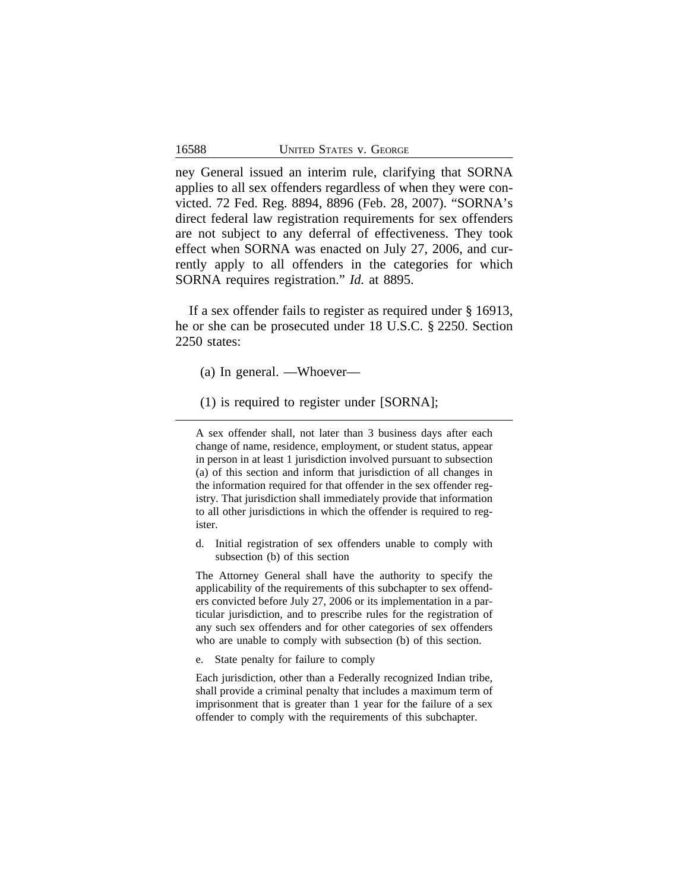ney General issued an interim rule, clarifying that SORNA applies to all sex offenders regardless of when they were convicted. 72 Fed. Reg. 8894, 8896 (Feb. 28, 2007). "SORNA's direct federal law registration requirements for sex offenders are not subject to any deferral of effectiveness. They took effect when SORNA was enacted on July 27, 2006, and currently apply to all offenders in the categories for which SORNA requires registration." *Id.* at 8895.

If a sex offender fails to register as required under § 16913, he or she can be prosecuted under 18 U.S.C. § 2250. Section 2250 states:

- (a) In general. —Whoever—
- (1) is required to register under [SORNA];

A sex offender shall, not later than 3 business days after each change of name, residence, employment, or student status, appear in person in at least 1 jurisdiction involved pursuant to subsection (a) of this section and inform that jurisdiction of all changes in the information required for that offender in the sex offender registry. That jurisdiction shall immediately provide that information to all other jurisdictions in which the offender is required to register.

d. Initial registration of sex offenders unable to comply with subsection (b) of this section

The Attorney General shall have the authority to specify the applicability of the requirements of this subchapter to sex offenders convicted before July 27, 2006 or its implementation in a particular jurisdiction, and to prescribe rules for the registration of any such sex offenders and for other categories of sex offenders who are unable to comply with subsection (b) of this section.

e. State penalty for failure to comply

Each jurisdiction, other than a Federally recognized Indian tribe, shall provide a criminal penalty that includes a maximum term of imprisonment that is greater than 1 year for the failure of a sex offender to comply with the requirements of this subchapter.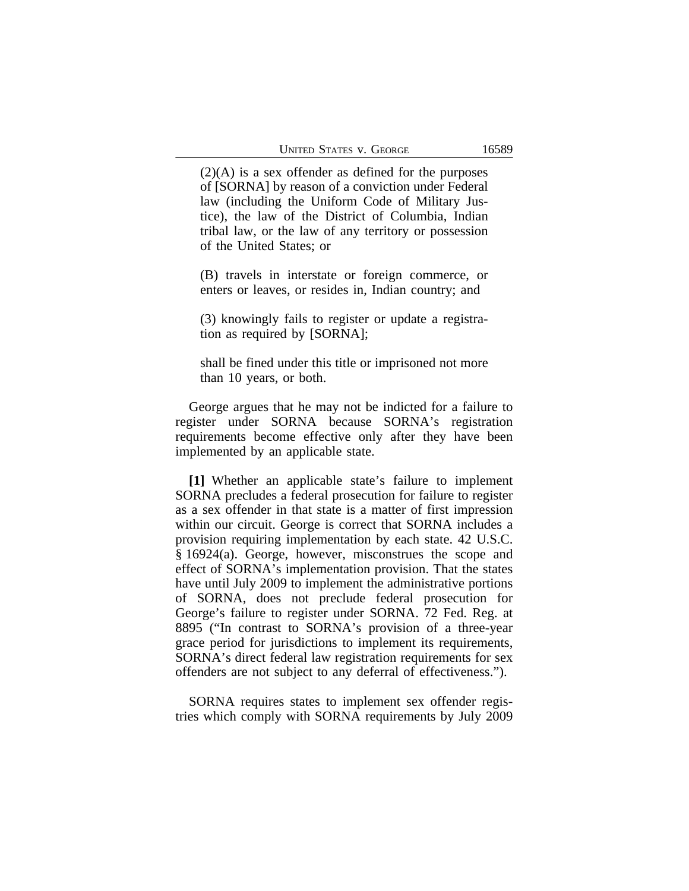$(2)(A)$  is a sex offender as defined for the purposes of [SORNA] by reason of a conviction under Federal law (including the Uniform Code of Military Justice), the law of the District of Columbia, Indian tribal law, or the law of any territory or possession of the United States; or

(B) travels in interstate or foreign commerce, or enters or leaves, or resides in, Indian country; and

(3) knowingly fails to register or update a registration as required by [SORNA];

shall be fined under this title or imprisoned not more than 10 years, or both.

George argues that he may not be indicted for a failure to register under SORNA because SORNA's registration requirements become effective only after they have been implemented by an applicable state.

**[1]** Whether an applicable state's failure to implement SORNA precludes a federal prosecution for failure to register as a sex offender in that state is a matter of first impression within our circuit. George is correct that SORNA includes a provision requiring implementation by each state. 42 U.S.C. § 16924(a). George, however, misconstrues the scope and effect of SORNA's implementation provision. That the states have until July 2009 to implement the administrative portions of SORNA, does not preclude federal prosecution for George's failure to register under SORNA. 72 Fed. Reg. at 8895 ("In contrast to SORNA's provision of a three-year grace period for jurisdictions to implement its requirements, SORNA's direct federal law registration requirements for sex offenders are not subject to any deferral of effectiveness.").

SORNA requires states to implement sex offender registries which comply with SORNA requirements by July 2009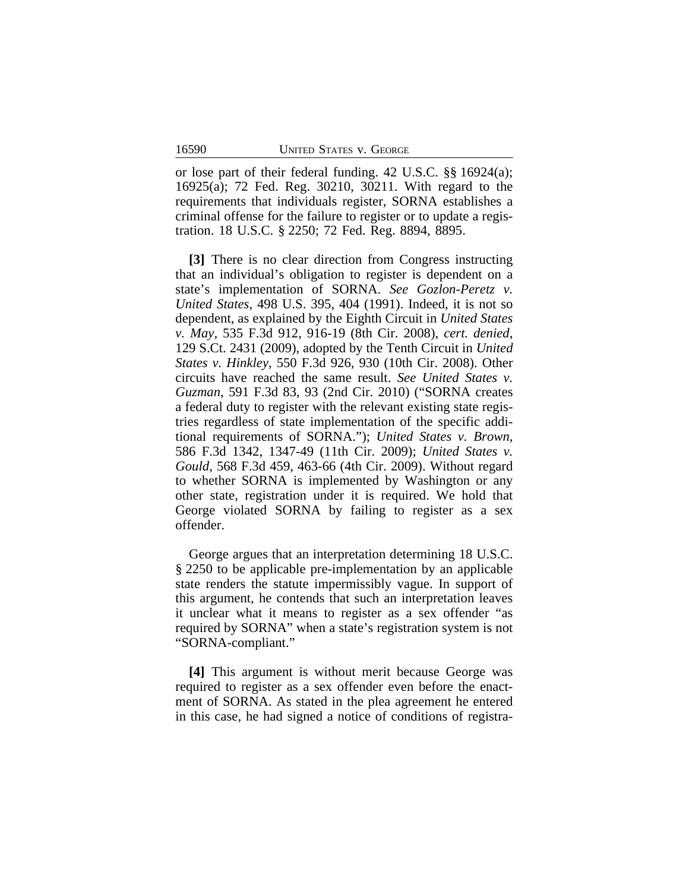or lose part of their federal funding. 42 U.S.C. §§ 16924(a); 16925(a); 72 Fed. Reg. 30210, 30211. With regard to the requirements that individuals register, SORNA establishes a criminal offense for the failure to register or to update a registration. 18 U.S.C. § 2250; 72 Fed. Reg. 8894, 8895.

**[3]** There is no clear direction from Congress instructing that an individual's obligation to register is dependent on a state's implementation of SORNA. *See Gozlon-Peretz v. United States*, 498 U.S. 395, 404 (1991). Indeed, it is not so dependent, as explained by the Eighth Circuit in *United States v. May,* 535 F.3d 912, 916-19 (8th Cir. 2008), *cert. denied*, 129 S.Ct. 2431 (2009), adopted by the Tenth Circuit in *United States v. Hinkley,* 550 F.3d 926, 930 (10th Cir. 2008). Other circuits have reached the same result. *See United States v. Guzman*, 591 F.3d 83, 93 (2nd Cir. 2010) ("SORNA creates a federal duty to register with the relevant existing state registries regardless of state implementation of the specific additional requirements of SORNA."); *United States v. Brown*, 586 F.3d 1342, 1347-49 (11th Cir. 2009); *United States v. Gould*, 568 F.3d 459, 463-66 (4th Cir. 2009). Without regard to whether SORNA is implemented by Washington or any other state, registration under it is required. We hold that George violated SORNA by failing to register as a sex offender.

George argues that an interpretation determining 18 U.S.C. § 2250 to be applicable pre-implementation by an applicable state renders the statute impermissibly vague. In support of this argument, he contends that such an interpretation leaves it unclear what it means to register as a sex offender "as required by SORNA" when a state's registration system is not "SORNA-compliant."

**[4]** This argument is without merit because George was required to register as a sex offender even before the enactment of SORNA. As stated in the plea agreement he entered in this case, he had signed a notice of conditions of registra-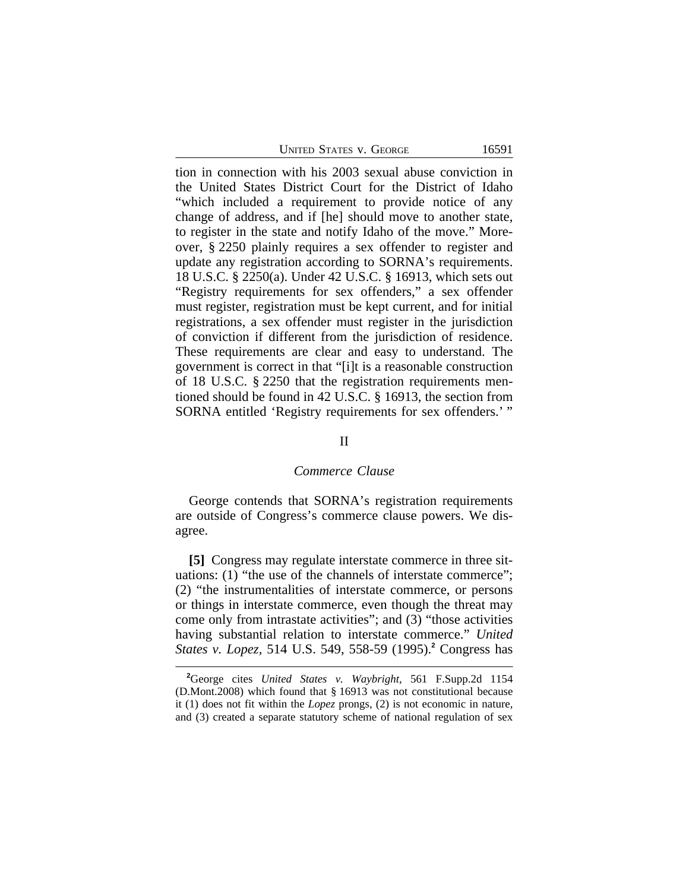| UNITED STATES V. GEORGE |  |
|-------------------------|--|
|-------------------------|--|

tion in connection with his 2003 sexual abuse conviction in the United States District Court for the District of Idaho "which included a requirement to provide notice of any change of address, and if [he] should move to another state, to register in the state and notify Idaho of the move." Moreover, § 2250 plainly requires a sex offender to register and update any registration according to SORNA's requirements. 18 U.S.C. § 2250(a). Under 42 U.S.C. § 16913, which sets out "Registry requirements for sex offenders," a sex offender must register, registration must be kept current, and for initial registrations, a sex offender must register in the jurisdiction of conviction if different from the jurisdiction of residence. These requirements are clear and easy to understand. The government is correct in that "[i]t is a reasonable construction of 18 U.S.C. § 2250 that the registration requirements mentioned should be found in 42 U.S.C. § 16913, the section from SORNA entitled 'Registry requirements for sex offenders.' "

#### II

#### *Commerce Clause*

George contends that SORNA's registration requirements are outside of Congress's commerce clause powers. We disagree.

**[5]** Congress may regulate interstate commerce in three situations: (1) "the use of the channels of interstate commerce"; (2) "the instrumentalities of interstate commerce, or persons or things in interstate commerce, even though the threat may come only from intrastate activities"; and (3) "those activities having substantial relation to interstate commerce." *United States v. Lopez,* 514 U.S. 549, 558-59 (1995).**<sup>2</sup>** Congress has

**<sup>2</sup>**George cites *United States v. Waybright,* 561 F.Supp.2d 1154 (D.Mont.2008) which found that § 16913 was not constitutional because it (1) does not fit within the *Lopez* prongs, (2) is not economic in nature, and (3) created a separate statutory scheme of national regulation of sex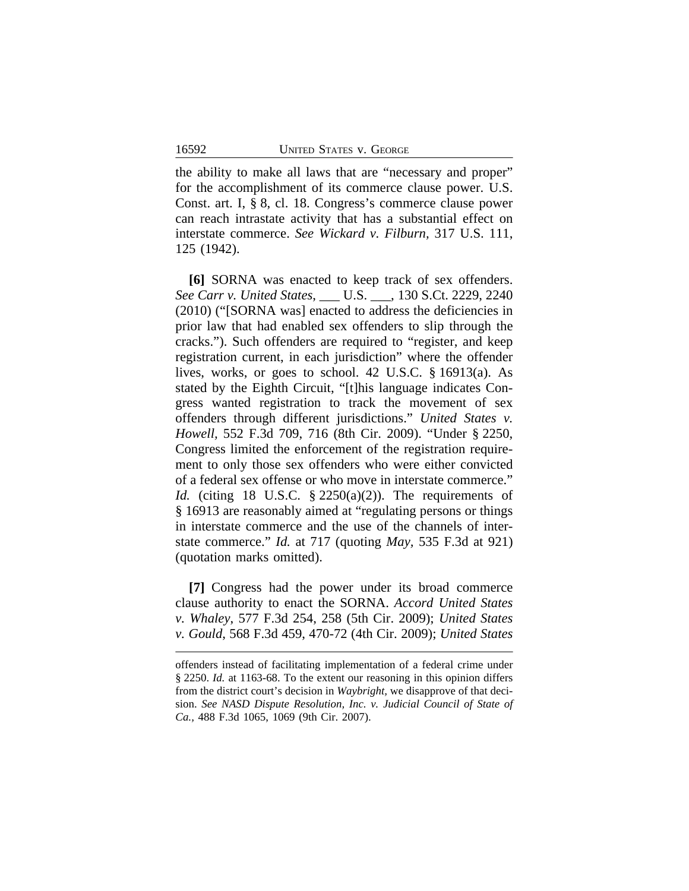the ability to make all laws that are "necessary and proper" for the accomplishment of its commerce clause power. U.S. Const. art. I, § 8, cl. 18. Congress's commerce clause power can reach intrastate activity that has a substantial effect on interstate commerce. *See Wickard v. Filburn,* 317 U.S. 111, 125 (1942).

**[6]** SORNA was enacted to keep track of sex offenders. *See Carr v. United States*, \_\_\_ U.S. \_\_\_, 130 S.Ct. 2229, 2240 (2010) ("[SORNA was] enacted to address the deficiencies in prior law that had enabled sex offenders to slip through the cracks."). Such offenders are required to "register, and keep registration current, in each jurisdiction" where the offender lives, works, or goes to school. 42 U.S.C. § 16913(a). As stated by the Eighth Circuit, "[t]his language indicates Congress wanted registration to track the movement of sex offenders through different jurisdictions." *United States v. Howell,* 552 F.3d 709, 716 (8th Cir. 2009). "Under § 2250, Congress limited the enforcement of the registration requirement to only those sex offenders who were either convicted of a federal sex offense or who move in interstate commerce." *Id.* (citing 18 U.S.C. § 2250(a)(2)). The requirements of § 16913 are reasonably aimed at "regulating persons or things in interstate commerce and the use of the channels of interstate commerce." *Id.* at 717 (quoting *May,* 535 F.3d at 921) (quotation marks omitted).

**[7]** Congress had the power under its broad commerce clause authority to enact the SORNA. *Accord United States v. Whaley*, 577 F.3d 254, 258 (5th Cir. 2009); *United States v. Gould*, 568 F.3d 459, 470-72 (4th Cir. 2009); *United States*

offenders instead of facilitating implementation of a federal crime under § 2250. *Id.* at 1163-68. To the extent our reasoning in this opinion differs from the district court's decision in *Waybright,* we disapprove of that decision. *See NASD Dispute Resolution, Inc. v. Judicial Council of State of Ca.,* 488 F.3d 1065, 1069 (9th Cir. 2007).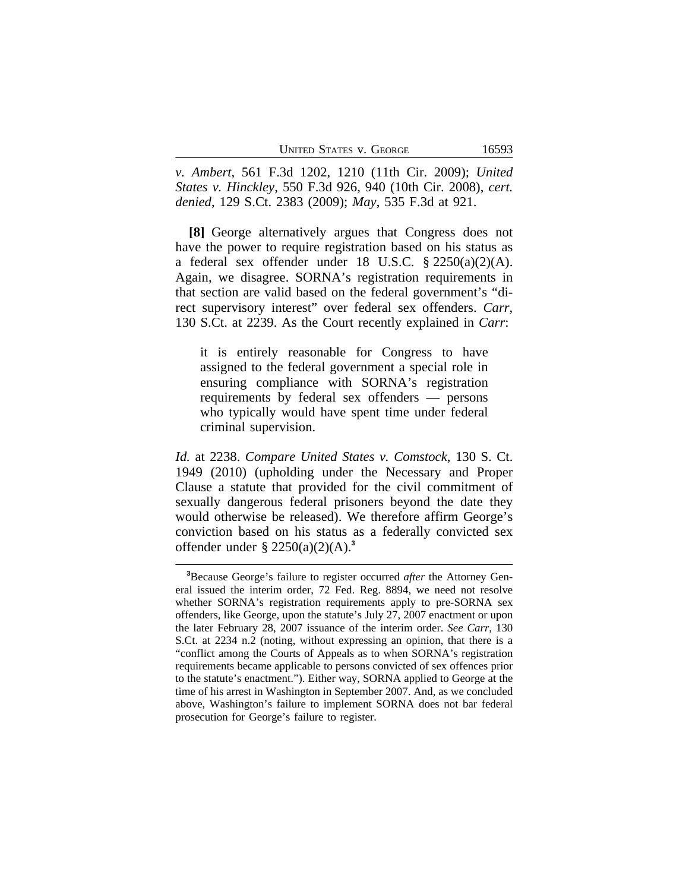| <b>UNITED STATES V. GEORGE</b> | 16593 |
|--------------------------------|-------|
|--------------------------------|-------|

*v. Ambert*, 561 F.3d 1202, 1210 (11th Cir. 2009); *United States v. Hinckley*, 550 F.3d 926, 940 (10th Cir. 2008), *cert. denied*, 129 S.Ct. 2383 (2009); *May*, 535 F.3d at 921.

**[8]** George alternatively argues that Congress does not have the power to require registration based on his status as a federal sex offender under 18 U.S.C.  $\S 2250(a)(2)(A)$ . Again, we disagree. SORNA's registration requirements in that section are valid based on the federal government's "direct supervisory interest" over federal sex offenders. *Carr*, 130 S.Ct. at 2239. As the Court recently explained in *Carr*:

it is entirely reasonable for Congress to have assigned to the federal government a special role in ensuring compliance with SORNA's registration requirements by federal sex offenders — persons who typically would have spent time under federal criminal supervision.

*Id.* at 2238. *Compare United States v. Comstock*, 130 S. Ct. 1949 (2010) (upholding under the Necessary and Proper Clause a statute that provided for the civil commitment of sexually dangerous federal prisoners beyond the date they would otherwise be released). We therefore affirm George's conviction based on his status as a federally convicted sex offender under § 2250(a)(2)(A).**<sup>3</sup>**

**<sup>3</sup>**Because George's failure to register occurred *after* the Attorney General issued the interim order, 72 Fed. Reg. 8894, we need not resolve whether SORNA's registration requirements apply to pre-SORNA sex offenders, like George, upon the statute's July 27, 2007 enactment or upon the later February 28, 2007 issuance of the interim order. *See Carr*, 130 S.Ct. at 2234 n.2 (noting, without expressing an opinion, that there is a "conflict among the Courts of Appeals as to when SORNA's registration requirements became applicable to persons convicted of sex offences prior to the statute's enactment."). Either way, SORNA applied to George at the time of his arrest in Washington in September 2007. And, as we concluded above, Washington's failure to implement SORNA does not bar federal prosecution for George's failure to register.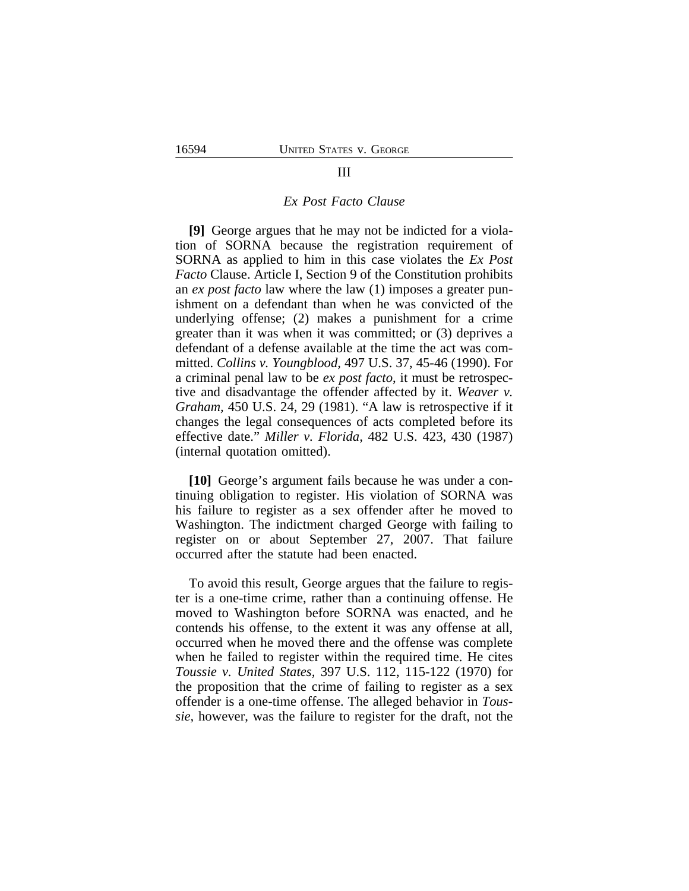## III

#### *Ex Post Facto Clause*

**[9]** George argues that he may not be indicted for a violation of SORNA because the registration requirement of SORNA as applied to him in this case violates the *Ex Post Facto* Clause. Article I, Section 9 of the Constitution prohibits an *ex post facto* law where the law (1) imposes a greater punishment on a defendant than when he was convicted of the underlying offense; (2) makes a punishment for a crime greater than it was when it was committed; or (3) deprives a defendant of a defense available at the time the act was committed. *Collins v. Youngblood,* 497 U.S. 37, 45-46 (1990). For a criminal penal law to be *ex post facto*, it must be retrospective and disadvantage the offender affected by it. *Weaver v. Graham,* 450 U.S. 24, 29 (1981). "A law is retrospective if it changes the legal consequences of acts completed before its effective date." *Miller v. Florida,* 482 U.S. 423, 430 (1987) (internal quotation omitted).

**[10]** George's argument fails because he was under a continuing obligation to register. His violation of SORNA was his failure to register as a sex offender after he moved to Washington. The indictment charged George with failing to register on or about September 27, 2007. That failure occurred after the statute had been enacted.

To avoid this result, George argues that the failure to register is a one-time crime, rather than a continuing offense. He moved to Washington before SORNA was enacted, and he contends his offense, to the extent it was any offense at all, occurred when he moved there and the offense was complete when he failed to register within the required time. He cites *Toussie v. United States,* 397 U.S. 112, 115-122 (1970) for the proposition that the crime of failing to register as a sex offender is a one-time offense. The alleged behavior in *Toussie,* however, was the failure to register for the draft, not the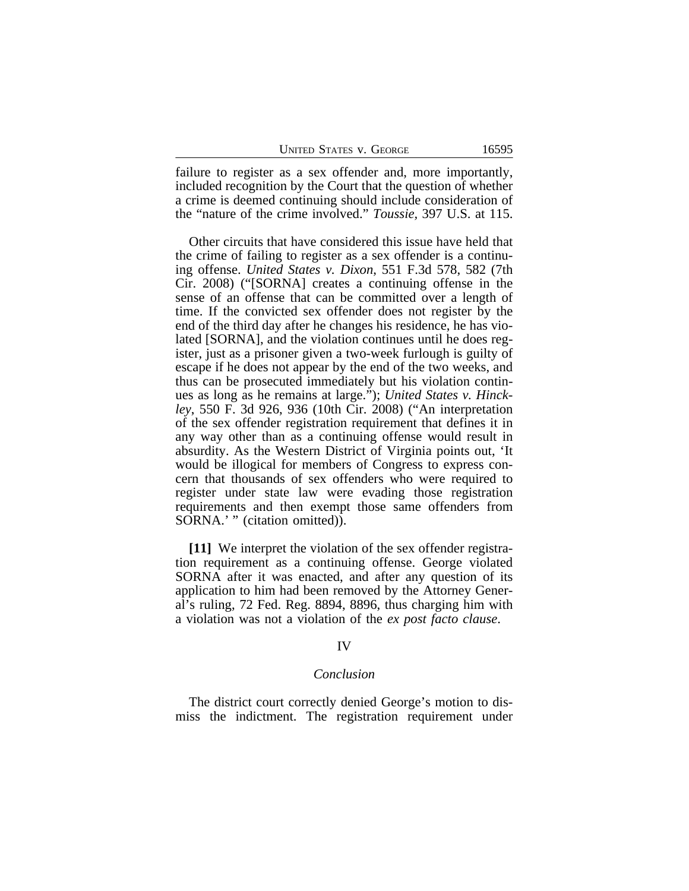failure to register as a sex offender and, more importantly, included recognition by the Court that the question of whether a crime is deemed continuing should include consideration of the "nature of the crime involved." *Toussie,* 397 U.S. at 115.

Other circuits that have considered this issue have held that the crime of failing to register as a sex offender is a continuing offense. *United States v. Dixon*, 551 F.3d 578, 582 (7th Cir. 2008) ("[SORNA] creates a continuing offense in the sense of an offense that can be committed over a length of time. If the convicted sex offender does not register by the end of the third day after he changes his residence, he has violated [SORNA], and the violation continues until he does register, just as a prisoner given a two-week furlough is guilty of escape if he does not appear by the end of the two weeks, and thus can be prosecuted immediately but his violation continues as long as he remains at large."); *United States v. Hinckley*, 550 F. 3d 926, 936 (10th Cir. 2008) ("An interpretation of the sex offender registration requirement that defines it in any way other than as a continuing offense would result in absurdity. As the Western District of Virginia points out, 'It would be illogical for members of Congress to express concern that thousands of sex offenders who were required to register under state law were evading those registration requirements and then exempt those same offenders from SORNA.' " (citation omitted)).

**[11]** We interpret the violation of the sex offender registration requirement as a continuing offense. George violated SORNA after it was enacted, and after any question of its application to him had been removed by the Attorney General's ruling, 72 Fed. Reg. 8894, 8896, thus charging him with a violation was not a violation of the *ex post facto clause*.

## IV

#### *Conclusion*

The district court correctly denied George's motion to dismiss the indictment. The registration requirement under